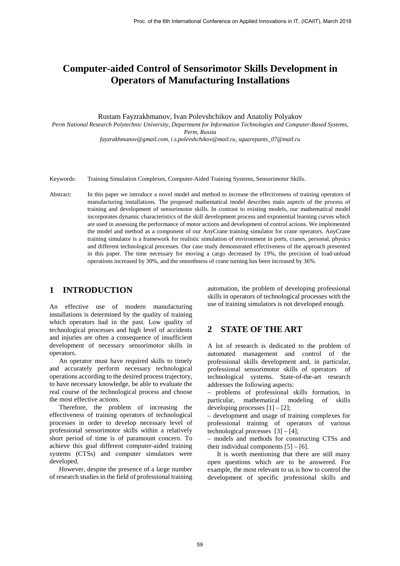# **Computer-aided Control of Sensorimotor Skills Development in Operators of Manufacturing Installations**

Rustam Fayzrakhmanov, Ivan Polevshchikov and Anatoly Polyakov

*Perm National Research Polytechnic University,* 

*Department for Information Technologies and Computer-Based Systems, Perm, Russia fayzrakhmanov@gmail.com, i.s.polevshchikov@mail.ru, squarepants\_07@mail.ru* 

Keywords: Training Simulation Complexes, Computer-Aided Training Systems, Sensorimotor Skills.

Abstract: In this paper we introduce a novel model and method to increase the effectiveness of training operators of manufacturing installations. The proposed mathematical model describes main aspects of the process of training and development of sensorimotor skills. In contrast to existing models, our mathematical model incorporates dynamic characteristics of the skill development process and exponential learning curves which are used in assessing the performance of motor actions and development of control actions. We implemented the model and method as a component of our AnyCrane training simulator for crane operators. AnyCrane training simulator is a framework for realistic simulation of environment in ports, cranes, personal, physics and different technological processes. Our case study demonstrated effectiveness of the approach presented in this paper. The time necessary for moving a cargo decreased by 19%, the precision of load-unload operations increased by 30%, and the smoothness of crane turning has been increased by 36%.

### **1 INTRODUCTION**

An effective use of modern manufacturing installations is determined by the quality of training which operators had in the past. Low quality of technological processes and high level of accidents and injuries are often a consequence of insufficient development of necessary sensorimotor skills in operators.

An operator must have required skills to timely and accurately perform necessary technological operations according to the desired process trajectory, to have necessary knowledge, be able to evaluate the real course of the technological process and choose the most effective actions.

Therefore, the problem of increasing the effectiveness of training operators of technological processes in order to develop necessary level of professional sensorimotor skills within a relatively short period of time is of paramount concern. To achieve this goal different computer-aided training systems (CTSs) and computer simulators were developed.

However, despite the presence of a large number of research studies in the field of professional training

automation, the problem of developing professional skills in operators of technological processes with the use of training simulators is not developed enough.

### **2 STATE OF THE ART**

A lot of research is dedicated to the problem of automated management and control of the professional skills development and, in particular, professional sensorimotor skills of operators of technological systems. State-of-the-art research addresses the following aspects:

– problems of professional skills formation, in particular, mathematical modeling of skills developing processes  $[1] - [2]$ ;

– development and usage of training complexes for professional training of operators of various technological processes  $[3] - [4]$ ;

– models and methods for constructing CTSs and their individual components  $[5] - [6]$ .

It is worth mentioning that there are still many open questions which are to be answered. For example, the most relevant to us is how to control the development of specific professional skills and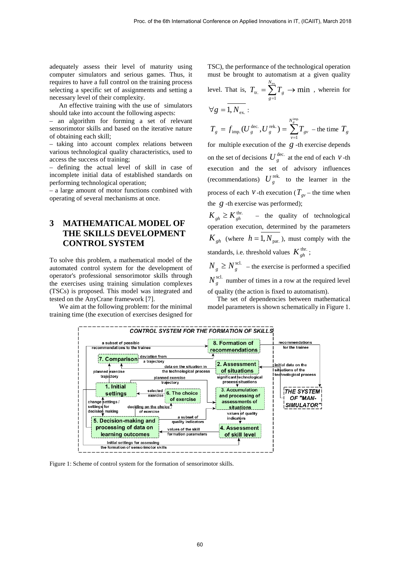adequately assess their level of maturity using computer simulators and serious games. Thus, it requires to have a full control on the training process selecting a specific set of assignments and setting a necessary level of their complexity.

An effective training with the use of simulators should take into account the following aspects:

– an algorithm for forming a set of relevant sensorimotor skills and based on the iterative nature of obtaining each skill;

– taking into account complex relations between various technological quality characteristics, used to access the success of training;

– defining the actual level of skill in case of incomplete initial data of established standards on performing technological operation;

– a large amount of motor functions combined with operating of several mechanisms at once.

## **3 MATHEMATICAL MODEL OF THE SKILLS DEVELOPMENT CONTROL SYSTEM**

To solve this problem, a mathematical model of the automated control system for the development of operator's professional sensorimotor skills through the exercises using training simulation complexes (TSCs) is proposed. This model was integrated and tested on the AnyCrane framework [7].

We aim at the following problem: for the minimal training time (the execution of exercises designed for

TSC), the performance of the technological operation must be brought to automatism at a given quality level. That is,  $T_{tr.} = \sum_{g=1}^{N_{ex}} T_g \rightarrow \min$  $T_{tr.} = \sum T_g \rightarrow \min$ , wherein for

$$
\forall g = \overline{1, N_{\text{ex.}}}: \qquad \qquad \sum_{g=1}^{g} \xi \qquad \text{and} \qquad \sum_{g=1}^{g} \xi(g) = \sum_{g=1}^{g} \xi(g) \qquad \text{and} \qquad \sum_{g=1}^{g} \xi(g) = \sum_{g=1}^{g} \xi(g) \qquad \text{and} \qquad \sum_{g=1}^{g} \xi(g) = \sum_{g=1}^{g} \xi(g) \qquad \text{and} \qquad \sum_{g=1}^{g} \xi(g) = \sum_{g=1}^{g} \xi(g) \qquad \text{and} \qquad \sum_{g=1}^{g} \xi(g) = \sum_{g=1}^{g} \xi(g) \qquad \text{and} \qquad \sum_{g=1}^{g} \xi(g) = \sum_{g=1}^{g} \xi(g) \qquad \text{and} \qquad \sum_{g=1}^{g} \xi(g) = \sum_{g=1}^{g} \xi(g) \qquad \text{and} \qquad \sum_{g=1}^{g} \xi(g) = \sum_{g=1}^{g} \xi(g) \qquad \text{and} \qquad \sum_{g=1}^{g} \xi(g) = \sum_{g=1}^{g} \xi(g) \qquad \text{and} \qquad \sum_{g=1}^{g} \xi(g) = \sum_{g=1}^{g} \xi(g) \qquad \text{and} \qquad \sum_{g=1}^{g} \xi(g) = \sum_{g=1}^{g} \xi(g) \qquad \text{and} \qquad \sum_{g=1}^{g} \xi(g) = \sum_{g=1}^{g} \xi(g) \qquad \text{and} \qquad \sum_{g=1}^{g} \xi(g) = \sum_{g=1}^{g} \xi(g) \qquad \text{and} \qquad \sum_{g=1}^{g} \xi(g) = \sum_{g=1}^{g} \xi(g) \qquad \text{and} \qquad \sum_{g=1}^{g} \xi(g) = \sum_{g=1}^{g} \xi(g) \qquad \text{and} \qquad \sum_{g=1}^{g} \xi(g) = \sum_{g=1}^{g} \xi(g) \qquad \text{and} \qquad \sum_{g=1}^{g} \xi(g) = \sum_{g=1}^{g} \xi(g) \qquad \text{and} \qquad \sum_{g=1}^{g} \xi(g) = \sum_{g=1}^{g} \xi(g) \qquad
$$

$$
T_g = f_{\text{imp.}}(U_g^{\text{ dec.}}, U_g^{\text{ rek.}}) = \sum_{v=1}^{N_g^{\text{imp.}}} T_{gv} \text{ -- the time } T_g
$$

for multiple execution of the  $g$ -th exercise depends on the set of decisions  $U_g^{\text{dec.}}$  at the end of each  $V$ -th execution and the set of advisory influences (recommendations)  $U_g^{\text{rek}}$  to the learner in the process of each *v* -th execution ( $T_{g\nu}$  – the time when the *g* -th exercise was performed);

 $K_{gh} \geq K_{gh}^{\text{thr.}}$  – the quality of technological operation execution, determined by the parameters  $K_{ph}$  (where  $h = 1, N_{par}$ ), must comply with the standards, i.e. threshold values  $K_{gh}^{\text{thr}}$ ;

 $N_g \geq N_g^{\text{scl.}}$  – the exercise is performed a specified  $N_e^{\text{scl.}}$  number of times in a row at the required level of quality (the action is fixed to automatism).

The set of dependencies between mathematical model parameters is shown schematically in Figure 1.



Figure 1: Scheme of control system for the formation of sensorimotor skills.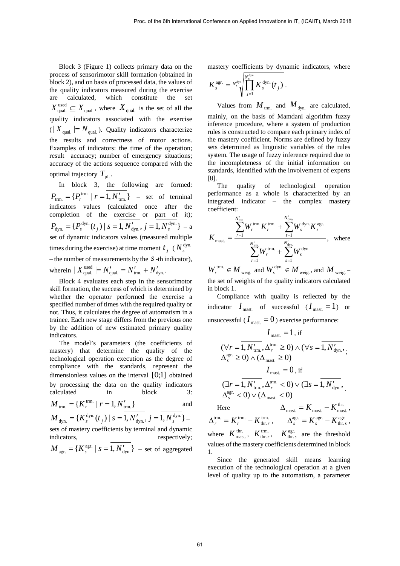Block 3 (Figure 1) collects primary data on the process of sensorimotor skill formation (obtained in block 2), and on basis of processed data, the values of the quality indicators measured during the exercise are calculated, which constitute the qual.  $X_{\text{qual.}}^{\text{used}} \subseteq X_{\text{qual.}}$ , where  $X_{\text{qual.}}$  is the set of all the quality indicators associated with the exercise  $(| X_{\text{quad}} | = N_{\text{quad}})$ . Quality indicators characterize the results and correctness of motor actions. Examples of indicators: the time of the operation; result accuracy; number of emergency situations; accuracy of the actions sequence compared with the optimal trajectory  $T_{\text{pl}}$ .

In block 3, the following are formed:  $P_{\text{trm.}} = \{P_r^{\text{trm.}} | r = 1, N'_{\text{trm.}}\}$  – set of terminal indicators values (calculated once after the completion of the exercise or part of it);  ${P_s^{\text{dyn.}}(t_j) | s = 1, N'_{\text{dyn.}}}, j = 1, N_s^{\text{dyn.}}\}$  $P_{\text{dyn.}} = \{P_s^{\text{dyn.}}(t_j) \mid s = 1, N'_{\text{dyn.}}, j = 1, N_s^{\text{dyn.}}\} - a$ set of dynamic indicators values (measured multiple times during the exercise) at time moment  $t_i$  ( $N_s^{\text{dyn}}$ – the number of measurements by the *s*-th indicator), wherein  $|X^{\text{used}}_{\text{qual.}}| = N'_{\text{qual.}} = N'_{\text{trm.}} + N'_{\text{dyn.}}$ .

Block 4 evaluates each step in the sensorimotor skill formation, the success of which is determined by whether the operator performed the exercise a specified number of times with the required quality or not. Thus, it calculates the degree of automatism in a trainee. Each new stage differs from the previous one by the addition of new estimated primary quality indicators.

The model's parameters (the coefficients of mastery) that determine the quality of the technological operation execution as the degree of compliance with the standards, represent the dimensionless values on the interval  $[0;1]$  obtained by processing the data on the quality indicators calculated in block 3:  $M_{\text{trm.}} = \{K_r^{\text{trm.}} \mid r = 1, N'_{\text{trm.}}\}$  and  ${K_s^{\text{dyn.}}(t_j) | s = 1, N'_{\text{dyn.}}}, j = 1, N_s^{\text{dyn.}}\}$  $\overline{M}_{\text{dyn.}} = \{K^{\text{dyn.}}_{s}(t_j) \mid s = 1, N'_{\text{dyn.}}, j = 1, N^{\text{dyn.}}_{s}\}$  –

sets of mastery coefficients by terminal and dynamic indicators, respectively;

$$
M_{\text{agr.}} = \{K_s^{\text{agr.}} \mid s = 1, N'_{\text{dyn.}}\} - \text{set of aggregated}
$$

mastery coefficients by dynamic indicators, where

$$
K_s^{\text{agr.}} = {}^{N_s^{\text{dyn}}}\!\!\!\!\!\!\!\!\!\int\limits_{j=1}^{{N_s^{\text{dyn}}}} \!\!\!\!\!\!\!\!K_s^{\text{dyn.}}(t_j) \ .
$$

Values from  $M_{\text{trm}}$  and  $M_{\text{dyn}}$  are calculated, mainly, on the basis of Mamdani algorithm fuzzy inference procedure, where a system of production rules is constructed to compare each primary index of the mastery coefficient. Norms are defined by fuzzy sets determined as linguistic variables of the rules system. The usage of fuzzy inference required due to the incompleteness of the initial information on standards, identified with the involvement of experts [8].

The quality of technological operation performance as a whole is characterized by an integrated indicator – the complex mastery coefficient:

$$
K_{\text{mast.}} = \frac{\sum_{r=1}^{N'_{\text{tm}}} W_r^{\text{trm.}} K_r^{\text{trm.}} + \sum_{s=1}^{N'_{\text{dyn.}} W_s^{\text{dyn.}}} W_s^{\text{dyn.}} K_s^{\text{agr.}}}{\sum_{r=1}^{N'_{\text{tm}}} W_r^{\text{trm.}}} + \sum_{s=1}^{N'_{\text{dyn.}} W_s^{\text{dyn.}}}, \text{ where}}
$$

weig.  $W_r^{\text{trm.}} \in M_{\text{weight}}$  and  $W_s^{\text{dyn.}} \in M_{\text{weight}}$ , and  $M_{\text{weight}}$  – the set of weights of the quality indicators calculated in block 1.

Compliance with quality is reflected by the indicator  $I_{\text{max}}$  of successful ( $I_{\text{max}} = 1$ ) or unsuccessful (  $I_{\rm mast.} = 0$  ) exercise performance:

$$
I_{\text{mast.}} = 1, \text{ if}
$$
  
\n
$$
(\forall r = 1, N'_{\text{trm.}}, \Delta_r^{\text{trm.}} \ge 0) \land (\forall s = 1, N'_{\text{dyn.}},
$$
  
\n
$$
\Delta_s^{\text{agr.}} \ge 0) \land (\Delta_{\text{mast.}} \ge 0)
$$
  
\n
$$
I_{\text{mast.}} = 0, \text{ if}
$$
  
\n
$$
(\exists r = 1, N'_{\text{trm.}}, \Delta_r^{\text{trm.}} < 0) \lor (\exists s = 1, N'_{\text{dyn.}},
$$
  
\n
$$
\Delta_s^{\text{agr.}} < 0) \lor (\Delta_{\text{mast.}} < 0)
$$

Here  $\Delta_{\text{ mast.}} = K_{\text{ mast.}} - K_{\text{ mast.}}^{\text{ thr.}}$ trm. thr.  $\Delta_r^{\text{trm.}} = K_r^{\text{trm.}} - K_{\text{thr.}}^{\text{trm.}}$ ,  $\Delta_s^{\text{agr.}} = K_s^{\text{agr.}} - K_{\text{thr.}}^{\text{agr.}}$  $\Delta_s^{\text{agr.}} = K_s^{\text{agr.}} - K_{\text{thr.}s}^{\text{agr.}}$ where  $K_{\text{max}}^{\text{thr}}$ ,  $K_{\text{thr}}^{\text{trm}}$ ,  $K_{\text{thr.s}}^{\text{agr.}}$  are the threshold values of the mastery coefficients determined in block 1.

Since the generated skill means learning execution of the technological operation at a given level of quality up to the automatism, a parameter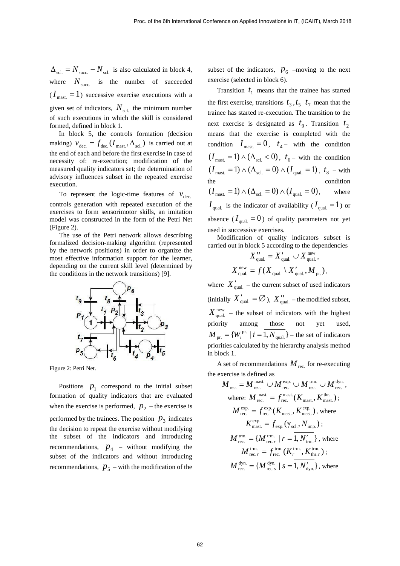$\Delta_{\text{sel}} = N_{\text{succ}} - N_{\text{sel}}$  is also calculated in block 4, where  $N_{\text{succ}}$  is the number of succeeded  $(I_{\text{max}} = 1)$  successive exercise executions with a given set of indicators,  $N_{\text{sel}}$  the minimum number of such executions in which the skill is considered formed, defined in block 1.

In block 5, the controls formation (decision making)  $v_{\text{dec.}} = f_{\text{dec.}}(I_{\text{max}}, \Delta_{\text{sel.}})$  is carried out at the end of each and before the first exercise in case of necessity of: re-execution; modification of the measured quality indicators set; the determination of advisory influences subset in the repeated exercise execution.

To represent the logic-time features of  $v_{\text{dec}}$ controls generation with repeated execution of the exercises to form sensorimotor skills, an imitation model was constructed in the form of the Petri Net (Figure 2).

The use of the Petri network allows describing formalized decision-making algorithm (represented by the network positions) in order to organize the most effective information support for the learner, depending on the current skill level (determined by the conditions in the network transitions) [9].



Figure 2: Petri Net.

Positions  $p_1$  correspond to the initial subset formation of quality indicators that are evaluated when the exercise is performed,  $p_2$  – the exercise is performed by the trainees. The position  $p_3$  indicates the decision to repeat the exercise without modifying the subset of the indicators and introducing recommendations,  $p_4$  – without modifying the subset of the indicators and without introducing recommendations,  $p_5$  – with the modification of the

subset of the indicators,  $p_6$  –moving to the next exercise (selected in block 6).

Transition  $t_1$  means that the trainee has started the first exercise, transitions  $t_3, t_5, t_7$  mean that the trainee has started re-execution. The transition to the next exercise is designated as  $t_9$ . Transition  $t_2$ means that the exercise is completed with the condition  $I_{\text{max}} = 0$ ,  $t_4$ – with the condition  $(I_{\text{max}} = 1) \wedge (\Delta_{\text{sel}} < 0), t_{6}$  – with the condition  $(I<sub>mask</sub> = 1) ∧ (Δ<sub>sol</sub> = 0) ∧ (I<sub>qual</sub> = 1)$ ,  $t<sub>8</sub>$  – with condition  $(I_{\text{max.}} = 1) \wedge (\Delta_{\text{scl.}} = 0) \wedge (I_{\text{qual.}} = 0)$ , where  $I_{\text{qual.}}$  is the indicator of availability ( $I_{\text{qual.}} = 1$ ) or absence ( $I_{\text{quad}} = 0$ ) of quality parameters not yet used in successive exercises.

Modification of quality indicators subset is carried out in block 5 according to the dependencies

$$
X_{\text{qual.}}'' = X_{\text{qual.}}' \cup X_{\text{qual.}}^{\text{new}},
$$
  

$$
X_{\text{qual.}}^{\text{new}} = f(X_{\text{qual.}} \setminus X_{\text{qual.}}', M_{\text{pr.}}),
$$

where  $X_{\text{quad}}'$  – the current subset of used indicators (initially  $X'_{\text{quad}} = \emptyset$ ),  $X''_{\text{quad}}$  – the modified subset,  $X_{\text{quad}}^{\text{new}}$  – the subset of indicators with the highest priority among those not yet used,  $M_{\text{pr.}} = \{W_i^{\text{pr.}} \mid i = 1, N_{\text{qual.}}\}$  – the set of indicators priorities calculated by the hierarchy analysis method in block 1.

A set of recommendations  $M_{\text{rec}}$  for re-executing the exercise is defined as

$$
M_{\text{rec.}} = M_{\text{rec.}}^{\text{maxt.}} \cup M_{\text{rec.}}^{\text{exp.}} \cup M_{\text{rec.}}^{\text{trm.}} \cup M_{\text{rec.}}^{\text{dyn.}},
$$
\nwhere: 
$$
M_{\text{rec.}}^{\text{maxt.}} = f_{\text{rec.}}^{\text{maxt.}}(K_{\text{maxt.}}, K_{\text{maxt.}}^{\text{thr.}});
$$
\n
$$
M_{\text{rec.}}^{\text{exp.}} = f_{\text{rec.}}^{\text{exp.}}(K_{\text{maxt.}}, K_{\text{maxt.}}^{\text{exp.}}), \text{where}
$$
\n
$$
K_{\text{maxt.}}^{\text{exp.}} = f_{\text{exp.}}(\gamma_{\text{scl.}}, N_{\text{imp.}});
$$
\n
$$
M_{\text{rec.}}^{\text{trm.}} = \{M_{\text{rec.}}^{\text{trm.}} | r = 1, N'_{\text{trm.}}^{\prime} \}, \text{where}
$$
\n
$$
M_{\text{rec.}}^{\text{trm.}} = f_{\text{rec.}}^{\text{trm.}}(K_{r}^{\text{trm.}}, K_{\text{thr.}}^{\text{trm.}});
$$
\n
$$
M_{\text{rec.}}^{\text{dyn.}} = \{M_{\text{rec.}}^{\text{dyn.}} | s = 1, N'_{\text{dyn.}}^{\prime} \}, \text{where}
$$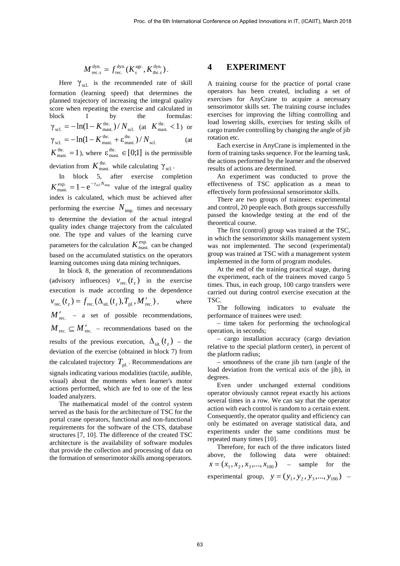$$
M_{\text{rec. } s}^{\text{dyn.}} = f_{\text{rec.}}^{\text{dyn.}}(K_s^{\text{agr.}}, K_{\text{thr. } s}^{\text{dyn.}}).
$$

Here  $\gamma_{\text{sel}}$  is the recommended rate of skill formation (learning speed) that determines the planned trajectory of increasing the integral quality score when repeating the exercise and calculated in block 1 by the formulas: scl.  $\gamma_{\text{sel.}} = -\ln(1 - K_{\text{max.}}^{\text{thr.}})/N_{\text{sel.}}$  (at  $K_{\text{max.}}^{\text{thr.}} < 1$ ) or scl. thr. mast.  $\gamma_{\text{sel.}} = -\ln(1 - K_{\text{max.}}^{\text{thr.}} + \varepsilon_{\text{max.}}^{\text{thr.}})/N_{\text{sel.}}$  (at  $K_{\text{max}}^{\text{thr}} = 1$ ), where  $\varepsilon_{\text{max}}^{\text{thr}} \in [0;1]$  is the permissible

deviation from  $K_{\text{max}}^{\text{thr}}$ , while calculating  $\gamma_{\text{sel}}$ .

In block 5, after exercise completion  $K_{\text{max.}}^{\text{exp.}} = 1 - e^{-\gamma_{\text{scl}} N_{\text{imp.}}}$  value of the integral quality index is calculated, which must be achieved after performing the exercise  $N_{\text{imp.}}$  times and necessary to determine the deviation of the actual integral quality index change trajectory from the calculated one. The type and values of the learning curve parameters for the calculation  $K_{\text{max}}^{\text{exp.}}$  can be changed based on the accumulated statistics on the operators learning outcomes using data mining techniques.

In block 8, the generation of recommendations (advisory influences)  $v_{\text{rec.}}(t_z)$  in the exercise execution is made according to the dependence  $v_{\text{rec.}}(t_z) = f_{\text{rec.}}(\Delta_{\text{sit.}}(t_z), T_{\text{pl.}}, M'_{\text{rec.}})$ , where  $M'_{\text{rec.}}$  – a set of possible recommendations,  $M_{\text{rec.}} \subseteq M'_{\text{rec.}}$  – recommendations based on the results of the previous execution,  $\Delta_{\rm sit}(t, t)$  – the deviation of the exercise (obtained in block 7) from the calculated trajectory  $T_{\text{pl}}$ . Recommendations are signals indicating various modalities (tactile, audible, visual) about the moments when learner's motor actions performed, which are fed to one of the less loaded analyzers.

The mathematical model of the control system served as the basis for the architecture of TSC for the portal crane operators, functional and non-functional requirements for the software of the CTS, database structures [7, 10]. The difference of the created TSC architecture is the availability of software modules that provide the collection and processing of data on the formation of sensorimotor skills among operators.

#### **4 EXPERIMENT**

A training course for the practice of portal crane operators has been created, including a set of exercises for AnyCrane to acquire a necessary sensorimotor skills set. The training course includes exercises for improving the lifting controlling and load lowering skills, exercises for testing skills of cargo transfer controlling by changing the angle of jib rotation etc.

Each exercise in AnyCrane is implemented in the form of training tasks sequence. For the learning task, the actions performed by the learner and the observed results of actions are determined.

An experiment was conducted to prove the effectiveness of TSC application as a mean to effectively form professional sensorimotor skills.

There are two groups of trainees: experimental and control, 20 people each. Both groups successfully passed the knowledge testing at the end of the theoretical course.

The first (control) group was trained at the TSC, in which the sensorimotor skills management system was not implemented. The second (experimental) group was trained at TSC with a management system implemented in the form of program modules.

At the end of the training practical stage, during the experiment, each of the trainees moved cargo 5 times. Thus, in each group, 100 cargo transfers were carried out during control exercise execution at the TSC.

The following indicators to evaluate the performance of trainees were used:

– time taken for performing the technological operation, in seconds;

– cargo installation accuracy (cargo deviation relative to the special platform center), in percent of the platform radius;

– smoothness of the crane jib turn (angle of the load deviation from the vertical axis of the jib), in degrees.

Even under unchanged external conditions operator obviously cannot repeat exactly his actions several times in a row. We can say that the operator action with each control is random to a certain extent. Consequently, the operator quality and efficiency can only be estimated on average statistical data, and experiments under the same conditions must be repeated many times [10].

Therefore, for each of the three indicators listed above, the following data were obtained:  $x = (x_1, x_2, x_3, \dots, x_{100})$  – sample for the experimental group,  $y = (y_1, y_2, y_3, ..., y_{100})$  –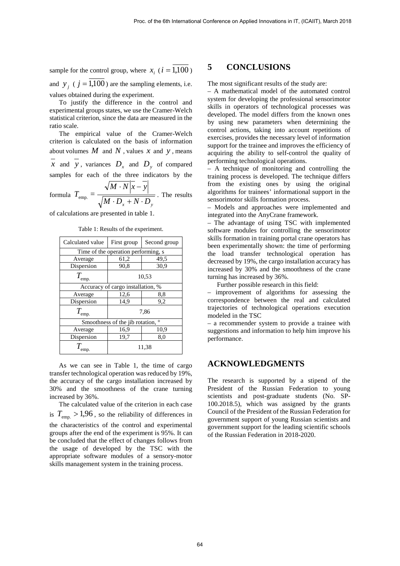sample for the control group, where  $x_i$  ( $i = \overline{1,100}$ ) and  $y_i$  ( $j = 1,100$ ) are the sampling elements, i.e. values obtained during the experiment.

To justify the difference in the control and experimental groups states, we use the Cramer-Welch statistical criterion, since the data are measured in the ratio scale.

The empirical value of the Cramer-Welch criterion is calculated on the basis of information about volumes  $M$  and  $N$ , values  $x$  and  $y$ , means

 $\overline{x}$  and  $\overline{y}$ , variances  $D_x$  and  $D_y$  of compared samples for each of the three indicators by the

formula  $M \cdot D_x + N \cdot D_y$  $M \cdot N|x-y$  $T_{\text{emp.}} =$  $\cdot D_{r} + N \cdot$  $\cdot N|x \frac{1}{\text{emp.}} = \frac{1}{\sqrt{11 \cdot \text{p}} \cdot \text{N} \cdot \text{p}}$ . The results

of calculations are presented in table 1.

Table 1: Results of the experiment.

| Calculated value                           | First group | Second group |
|--------------------------------------------|-------------|--------------|
| Time of the operation performing, s        |             |              |
| Average                                    | 61,2        | 49,5         |
| Dispersion                                 | 90,8        | 30,9         |
| $T_{\text{emp.}}$                          | 10,53       |              |
| Accuracy of cargo installation, %          |             |              |
| Average                                    | 12,6        | 8,8          |
| Dispersion                                 | 14.9        | 9,2          |
| $T_{\rm emp.}$                             | 7,86        |              |
| $\circ$<br>Smoothness of the jib rotation, |             |              |
| Average                                    | 16,9        | 10,9         |
| Dispersion                                 | 19,7        | 8,0          |
| emp.                                       | 11,38       |              |

As we can see in Table 1, the time of cargo transfer technological operation was reduced by 19%, the accuracy of the cargo installation increased by 30% and the smoothness of the crane turning increased by 36%.

The calculated value of the criterion in each case is  $T_{\text{enn}} > 1.96$ , so the reliability of differences in the characteristics of the control and experimental groups after the end of the experiment is 95%. It can be concluded that the effect of changes follows from the usage of developed by the TSC with the appropriate software modules of a sensory-motor skills management system in the training process.

#### **5 CONCLUSIONS**

The most significant results of the study are:

– A mathematical model of the automated control system for developing the professional sensorimotor skills in operators of technological processes was developed. The model differs from the known ones by using new parameters when determining the control actions, taking into account repetitions of exercises, provides the necessary level of information support for the trainee and improves the efficiency of acquiring the ability to self-control the quality of performing technological operations.

– A technique of monitoring and controlling the training process is developed. The technique differs from the existing ones by using the original algorithms for trainees' informational support in the sensorimotor skills formation process.

– Models and approaches were implemented and integrated into the AnyCrane framework.

– The advantage of using TSC with implemented software modules for controlling the sensorimotor skills formation in training portal crane operators has been experimentally shown: the time of performing the load transfer technological operation has decreased by 19%, the cargo installation accuracy has increased by 30% and the smoothness of the crane turning has increased by 36%.

Further possible research in this field:

improvement of algorithms for assessing the correspondence between the real and calculated trajectories of technological operations execution modeled in the TSC

– a recommender system to provide a trainee with suggestions and information to help him improve his performance.

### **ACKNOWLEDGMENTS**

The research is supported by a stipend of the President of the Russian Federation to young scientists and post-graduate students (No. SP-100.2018.5), which was assigned by the grants Council of the President of the Russian Federation for government support of young Russian scientists and government support for the leading scientific schools of the Russian Federation in 2018-2020.